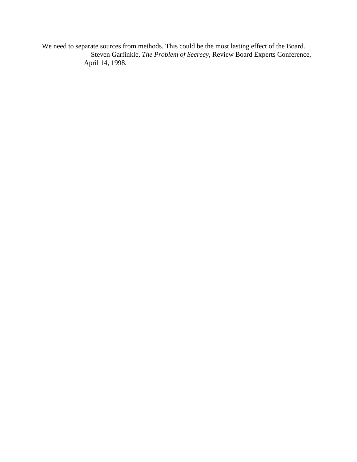We need to separate sources from methods. This could be the most lasting effect of the Board. —Steven Garfinkle, *The Problem of Secrecy*, Review Board Experts Conference, April 14, 1998.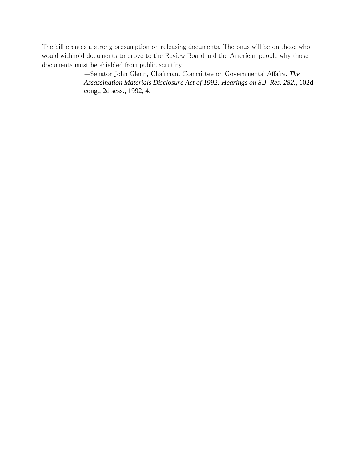The bill creates a strong presumption on releasing documents. The onus will be on those who would withhold documents to prove to the Review Board and the American people why those documents must be shielded from public scrutiny.

> —Senator John Glenn, Chairman, Committee on Governmental Affairs. *The Assassination Materials Disclosure Act of 1992: Hearings on S.J. Res. 282.,* 102d cong., 2d sess., 1992, 4.